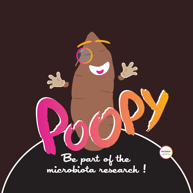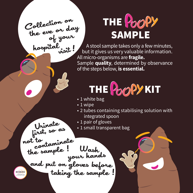Collection on the eve or day of your<br>hospital<sub>sist</sub>!

Urinate

first, so as

## THE POOPY sample

 A stool sample takes only a few minutes, but it gives us very valuable information. All micro-organisms are **fragile.** Sample **quality**, determined by observance of the steps below, **is essential.**



- 1 white bag
- $\cdot$  1 wipe
- 2 tubes containing stabilising solution with integrated spoon
- 1 pair of gloves
- 1 small transparent bag

to<br>contaminate constant ! Wash<br>the sample ! Wash<br>and put on gloves before !<br>taking the sample !

NCOBIOME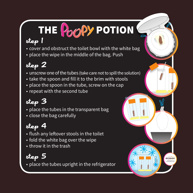# THE POOPY POTION

#### step 1

- cover and obstruct the toilet bowl with the white bag
- place the wipe in the middle of the bag. Push

#### step 2

- unscrew one of the tubes (take care not to spill the solution)
- take the spoon and fill it to the brim with stools
- place the spoon in the tube, screw on the cap
- repeat with the second tube

### step 3

- place the tubes in the transparent bag
- close the bag carefully

#### step 4

- flush any leftover stools in the toilet
- fold the white bag over the wipe
- throw it in the trash

#### step 5

• place the tubes upright in the refrigerator

ONCOBIOME